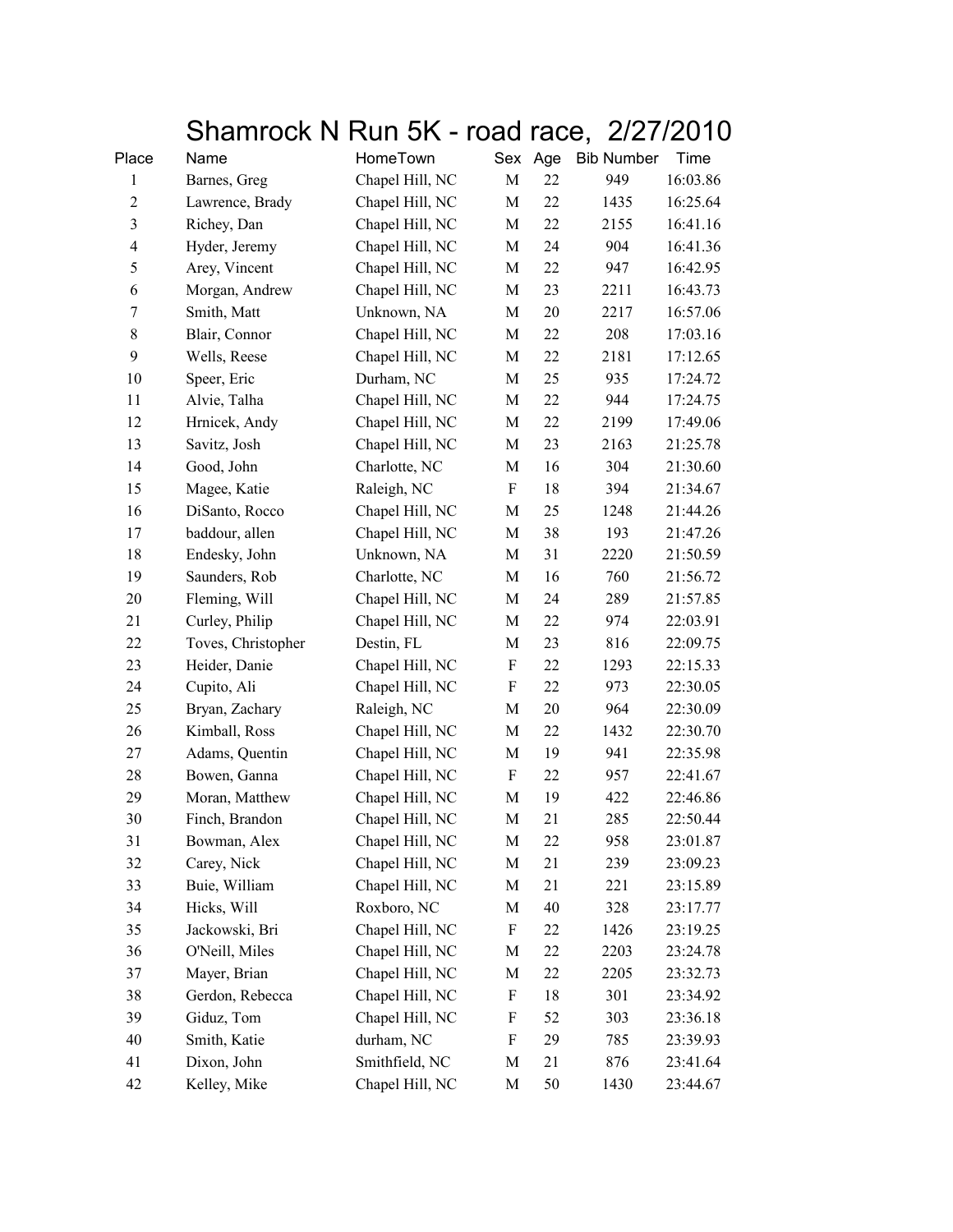## Shamrock N Run 5K - road race, 2/27/2010

| Place          | Name               | HomeTown        | Sex Age                   |    | <b>Bib Number</b> | Time     |
|----------------|--------------------|-----------------|---------------------------|----|-------------------|----------|
| 1              | Barnes, Greg       | Chapel Hill, NC | M                         | 22 | 949               | 16:03.86 |
| $\mathfrak{2}$ | Lawrence, Brady    | Chapel Hill, NC | M                         | 22 | 1435              | 16:25.64 |
| $\mathfrak{Z}$ | Richey, Dan        | Chapel Hill, NC | M                         | 22 | 2155              | 16:41.16 |
| $\overline{4}$ | Hyder, Jeremy      | Chapel Hill, NC | M                         | 24 | 904               | 16:41.36 |
| 5              | Arey, Vincent      | Chapel Hill, NC | M                         | 22 | 947               | 16:42.95 |
| 6              | Morgan, Andrew     | Chapel Hill, NC | М                         | 23 | 2211              | 16:43.73 |
| 7              | Smith, Matt        | Unknown, NA     | M                         | 20 | 2217              | 16:57.06 |
| 8              | Blair, Connor      | Chapel Hill, NC | M                         | 22 | 208               | 17:03.16 |
| 9              | Wells, Reese       | Chapel Hill, NC | М                         | 22 | 2181              | 17:12.65 |
| 10             | Speer, Eric        | Durham, NC      | M                         | 25 | 935               | 17:24.72 |
| 11             | Alvie, Talha       | Chapel Hill, NC | M                         | 22 | 944               | 17:24.75 |
| 12             | Hrnicek, Andy      | Chapel Hill, NC | M                         | 22 | 2199              | 17:49.06 |
| 13             | Savitz, Josh       | Chapel Hill, NC | M                         | 23 | 2163              | 21:25.78 |
| 14             | Good, John         | Charlotte, NC   | М                         | 16 | 304               | 21:30.60 |
| 15             | Magee, Katie       | Raleigh, NC     | $\boldsymbol{\mathrm{F}}$ | 18 | 394               | 21:34.67 |
| 16             | DiSanto, Rocco     | Chapel Hill, NC | М                         | 25 | 1248              | 21:44.26 |
| 17             | baddour, allen     | Chapel Hill, NC | М                         | 38 | 193               | 21:47.26 |
| 18             | Endesky, John      | Unknown, NA     | M                         | 31 | 2220              | 21:50.59 |
| 19             | Saunders, Rob      | Charlotte, NC   | M                         | 16 | 760               | 21:56.72 |
| 20             | Fleming, Will      | Chapel Hill, NC | М                         | 24 | 289               | 21:57.85 |
| 21             | Curley, Philip     | Chapel Hill, NC | М                         | 22 | 974               | 22:03.91 |
| 22             | Toves, Christopher | Destin, FL      | M                         | 23 | 816               | 22:09.75 |
| 23             | Heider, Danie      | Chapel Hill, NC | $\boldsymbol{\mathrm{F}}$ | 22 | 1293              | 22:15.33 |
| 24             | Cupito, Ali        | Chapel Hill, NC | $\boldsymbol{\mathrm{F}}$ | 22 | 973               | 22:30.05 |
| 25             | Bryan, Zachary     | Raleigh, NC     | M                         | 20 | 964               | 22:30.09 |
| 26             | Kimball, Ross      | Chapel Hill, NC | M                         | 22 | 1432              | 22:30.70 |
| 27             | Adams, Quentin     | Chapel Hill, NC | М                         | 19 | 941               | 22:35.98 |
| 28             | Bowen, Ganna       | Chapel Hill, NC | F                         | 22 | 957               | 22:41.67 |
| 29             | Moran, Matthew     | Chapel Hill, NC | М                         | 19 | 422               | 22:46.86 |
| 30             | Finch, Brandon     | Chapel Hill, NC | М                         | 21 | 285               | 22:50.44 |
| 31             | Bowman, Alex       | Chapel Hill, NC | М                         | 22 | 958               | 23:01.87 |
| 32             | Carey, Nick        | Chapel Hill, NC | М                         | 21 | 239               | 23:09.23 |
| 33             | Buie, William      | Chapel Hill, NC | М                         | 21 | 221               | 23:15.89 |
| 34             | Hicks, Will        | Roxboro, NC     | М                         | 40 | 328               | 23:17.77 |
| 35             | Jackowski, Bri     | Chapel Hill, NC | $\boldsymbol{\mathrm{F}}$ | 22 | 1426              | 23:19.25 |
| 36             | O'Neill, Miles     | Chapel Hill, NC | M                         | 22 | 2203              | 23:24.78 |
| 37             | Mayer, Brian       | Chapel Hill, NC | М                         | 22 | 2205              | 23:32.73 |
| 38             | Gerdon, Rebecca    | Chapel Hill, NC | F                         | 18 | 301               | 23:34.92 |
| 39             | Giduz, Tom         | Chapel Hill, NC | F                         | 52 | 303               | 23:36.18 |
| 40             | Smith, Katie       | durham, NC      | F                         | 29 | 785               | 23:39.93 |
| 41             | Dixon, John        | Smithfield, NC  | M                         | 21 | 876               | 23:41.64 |
| 42             | Kelley, Mike       | Chapel Hill, NC | М                         | 50 | 1430              | 23:44.67 |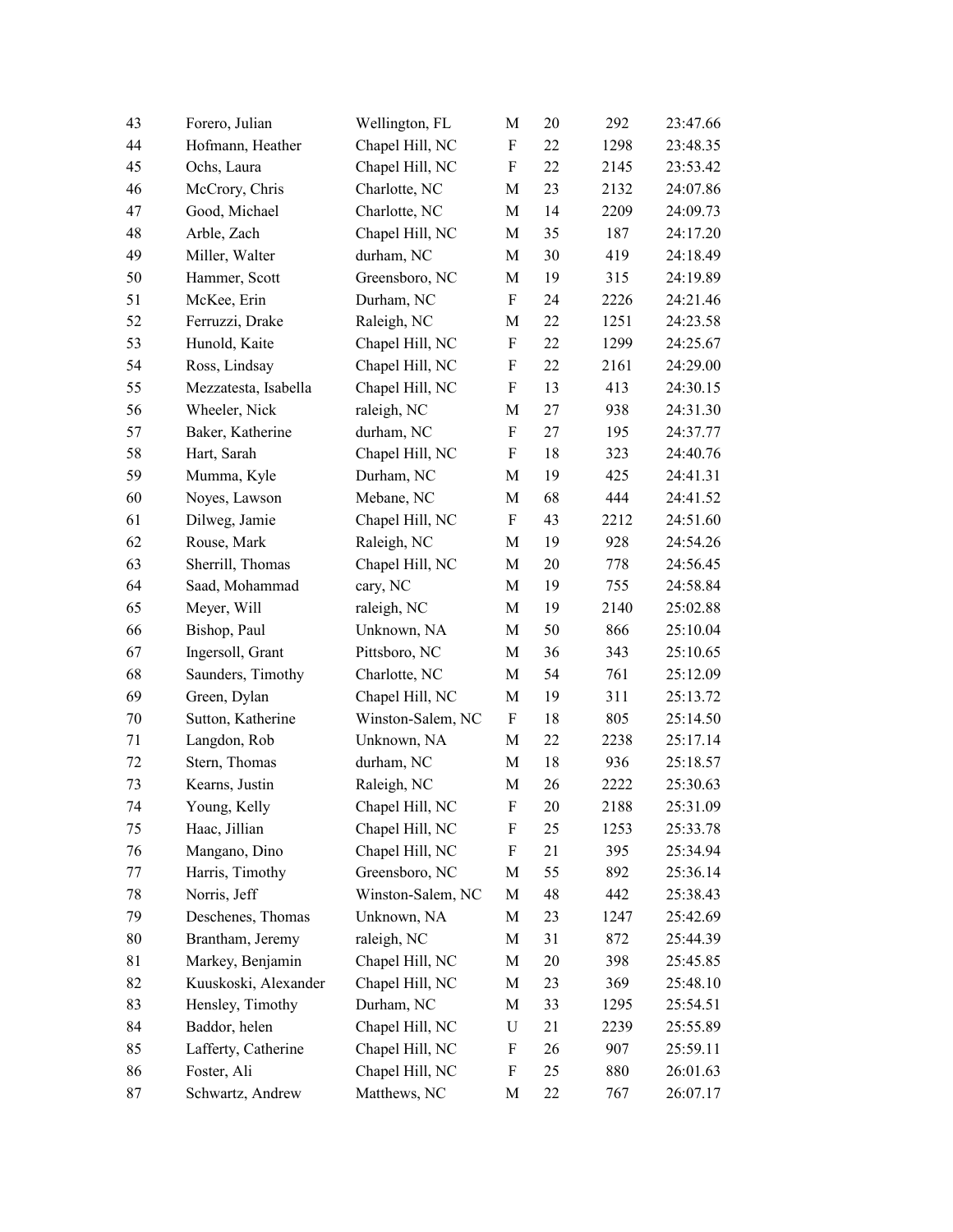| 43 | Forero, Julian       | Wellington, FL    | M           | 20 | 292  | 23:47.66 |
|----|----------------------|-------------------|-------------|----|------|----------|
| 44 | Hofmann, Heather     | Chapel Hill, NC   | F           | 22 | 1298 | 23:48.35 |
| 45 | Ochs, Laura          | Chapel Hill, NC   | F           | 22 | 2145 | 23:53.42 |
| 46 | McCrory, Chris       | Charlotte, NC     | M           | 23 | 2132 | 24:07.86 |
| 47 | Good, Michael        | Charlotte, NC     | M           | 14 | 2209 | 24:09.73 |
| 48 | Arble, Zach          | Chapel Hill, NC   | M           | 35 | 187  | 24:17.20 |
| 49 | Miller, Walter       | durham, NC        | M           | 30 | 419  | 24:18.49 |
| 50 | Hammer, Scott        | Greensboro, NC    | M           | 19 | 315  | 24:19.89 |
| 51 | McKee, Erin          | Durham, NC        | F           | 24 | 2226 | 24:21.46 |
| 52 | Ferruzzi, Drake      | Raleigh, NC       | M           | 22 | 1251 | 24:23.58 |
| 53 | Hunold, Kaite        | Chapel Hill, NC   | F           | 22 | 1299 | 24:25.67 |
| 54 | Ross, Lindsay        | Chapel Hill, NC   | F           | 22 | 2161 | 24:29.00 |
| 55 | Mezzatesta, Isabella | Chapel Hill, NC   | F           | 13 | 413  | 24:30.15 |
| 56 | Wheeler, Nick        | raleigh, NC       | M           | 27 | 938  | 24:31.30 |
| 57 | Baker, Katherine     | durham, NC        | F           | 27 | 195  | 24:37.77 |
| 58 | Hart, Sarah          | Chapel Hill, NC   | F           | 18 | 323  | 24:40.76 |
| 59 | Mumma, Kyle          | Durham, NC        | M           | 19 | 425  | 24:41.31 |
| 60 | Noyes, Lawson        | Mebane, NC        | M           | 68 | 444  | 24:41.52 |
| 61 | Dilweg, Jamie        | Chapel Hill, NC   | F           | 43 | 2212 | 24:51.60 |
| 62 | Rouse, Mark          | Raleigh, NC       | M           | 19 | 928  | 24:54.26 |
| 63 | Sherrill, Thomas     | Chapel Hill, NC   | M           | 20 | 778  | 24:56.45 |
| 64 | Saad, Mohammad       | cary, NC          | $\mathbf M$ | 19 | 755  | 24:58.84 |
| 65 | Meyer, Will          | raleigh, NC       | M           | 19 | 2140 | 25:02.88 |
| 66 | Bishop, Paul         | Unknown, NA       | M           | 50 | 866  | 25:10.04 |
| 67 | Ingersoll, Grant     | Pittsboro, NC     | M           | 36 | 343  | 25:10.65 |
| 68 | Saunders, Timothy    | Charlotte, NC     | M           | 54 | 761  | 25:12.09 |
| 69 | Green, Dylan         | Chapel Hill, NC   | M           | 19 | 311  | 25:13.72 |
| 70 | Sutton, Katherine    | Winston-Salem, NC | F           | 18 | 805  | 25:14.50 |
| 71 | Langdon, Rob         | Unknown, NA       | M           | 22 | 2238 | 25:17.14 |
| 72 | Stern, Thomas        | durham, NC        | M           | 18 | 936  | 25:18.57 |
| 73 | Kearns, Justin       | Raleigh, NC       | M           | 26 | 2222 | 25:30.63 |
| 74 | Young, Kelly         | Chapel Hill, NC   | F           | 20 | 2188 | 25:31.09 |
| 75 | Haac, Jillian        | Chapel Hill, NC   | F           | 25 | 1253 | 25:33.78 |
| 76 | Mangano, Dino        | Chapel Hill, NC   | F           | 21 | 395  | 25:34.94 |
| 77 | Harris, Timothy      | Greensboro, NC    | M           | 55 | 892  | 25:36.14 |
| 78 | Norris, Jeff         | Winston-Salem, NC | M           | 48 | 442  | 25:38.43 |
| 79 | Deschenes, Thomas    | Unknown, NA       | M           | 23 | 1247 | 25:42.69 |
| 80 | Brantham, Jeremy     | raleigh, NC       | M           | 31 | 872  | 25:44.39 |
| 81 | Markey, Benjamin     | Chapel Hill, NC   | M           | 20 | 398  | 25:45.85 |
| 82 | Kuuskoski, Alexander | Chapel Hill, NC   | M           | 23 | 369  | 25:48.10 |
| 83 | Hensley, Timothy     | Durham, NC        | M           | 33 | 1295 | 25:54.51 |
| 84 | Baddor, helen        | Chapel Hill, NC   | U           | 21 | 2239 | 25:55.89 |
| 85 | Lafferty, Catherine  | Chapel Hill, NC   | F           | 26 | 907  | 25:59.11 |
| 86 | Foster, Ali          | Chapel Hill, NC   | F           | 25 | 880  | 26:01.63 |
| 87 | Schwartz, Andrew     | Matthews, NC      | M           | 22 | 767  | 26:07.17 |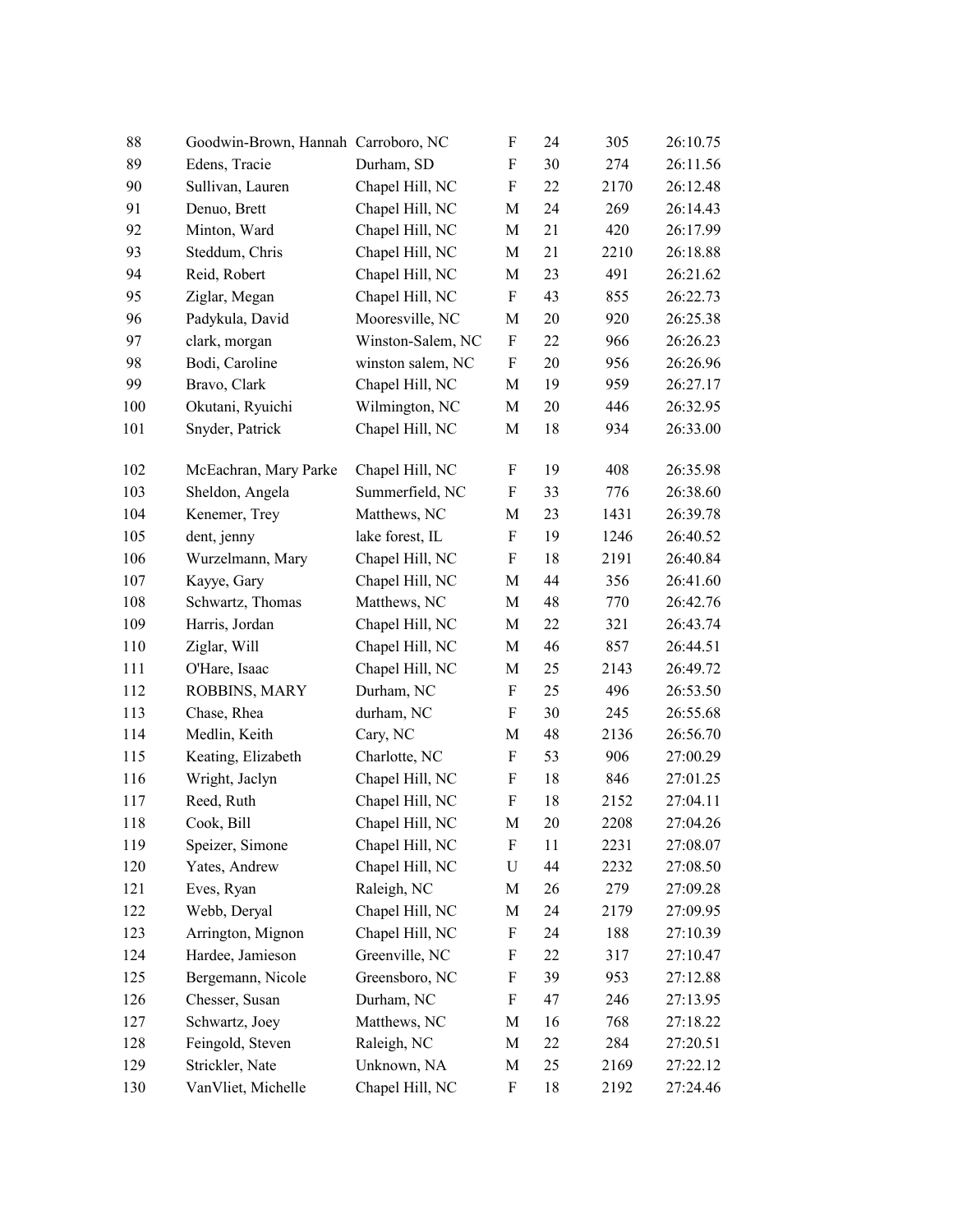| 88  | Goodwin-Brown, Hannah Carroboro, NC |                   | F           | 24 | 305  | 26:10.75 |
|-----|-------------------------------------|-------------------|-------------|----|------|----------|
| 89  | Edens, Tracie                       | Durham, SD        | F           | 30 | 274  | 26:11.56 |
| 90  | Sullivan, Lauren                    | Chapel Hill, NC   | F           | 22 | 2170 | 26:12.48 |
| 91  | Denuo, Brett                        | Chapel Hill, NC   | M           | 24 | 269  | 26:14.43 |
| 92  | Minton, Ward                        | Chapel Hill, NC   | M           | 21 | 420  | 26:17.99 |
| 93  | Steddum, Chris                      | Chapel Hill, NC   | M           | 21 | 2210 | 26:18.88 |
| 94  | Reid, Robert                        | Chapel Hill, NC   | М           | 23 | 491  | 26:21.62 |
| 95  | Ziglar, Megan                       | Chapel Hill, NC   | F           | 43 | 855  | 26:22.73 |
| 96  | Padykula, David                     | Mooresville, NC   | M           | 20 | 920  | 26:25.38 |
| 97  | clark, morgan                       | Winston-Salem, NC | F           | 22 | 966  | 26:26.23 |
| 98  | Bodi, Caroline                      | winston salem, NC | F           | 20 | 956  | 26:26.96 |
| 99  | Bravo, Clark                        | Chapel Hill, NC   | M           | 19 | 959  | 26:27.17 |
| 100 | Okutani, Ryuichi                    | Wilmington, NC    | M           | 20 | 446  | 26:32.95 |
| 101 | Snyder, Patrick                     | Chapel Hill, NC   | M           | 18 | 934  | 26:33.00 |
| 102 | McEachran, Mary Parke               | Chapel Hill, NC   | F           | 19 | 408  | 26:35.98 |
| 103 | Sheldon, Angela                     | Summerfield, NC   | F           | 33 | 776  | 26:38.60 |
| 104 | Kenemer, Trey                       | Matthews, NC      | M           | 23 | 1431 | 26:39.78 |
| 105 | dent, jenny                         | lake forest, IL   | F           | 19 | 1246 | 26:40.52 |
| 106 | Wurzelmann, Mary                    | Chapel Hill, NC   | F           | 18 | 2191 | 26:40.84 |
| 107 | Kayye, Gary                         | Chapel Hill, NC   | M           | 44 | 356  | 26:41.60 |
| 108 | Schwartz, Thomas                    | Matthews, NC      | M           | 48 | 770  | 26:42.76 |
| 109 | Harris, Jordan                      | Chapel Hill, NC   | M           | 22 | 321  | 26:43.74 |
| 110 | Ziglar, Will                        | Chapel Hill, NC   | M           | 46 | 857  | 26:44.51 |
| 111 | O'Hare, Isaac                       | Chapel Hill, NC   | М           | 25 | 2143 | 26:49.72 |
| 112 | ROBBINS, MARY                       | Durham, NC        | F           | 25 | 496  | 26:53.50 |
| 113 | Chase, Rhea                         | durham, NC        | F           | 30 | 245  | 26:55.68 |
| 114 | Medlin, Keith                       | Cary, NC          | M           | 48 | 2136 | 26:56.70 |
| 115 | Keating, Elizabeth                  | Charlotte, NC     | F           | 53 | 906  | 27:00.29 |
| 116 | Wright, Jaclyn                      | Chapel Hill, NC   | F           | 18 | 846  | 27:01.25 |
| 117 | Reed, Ruth                          | Chapel Hill, NC   | F           | 18 | 2152 | 27:04.11 |
| 118 | Cook, Bill                          | Chapel Hill, NC   | M           | 20 | 2208 | 27:04.26 |
| 119 | Speizer, Simone                     | Chapel Hill, NC   | F           | 11 | 2231 | 27:08.07 |
| 120 | Yates, Andrew                       | Chapel Hill, NC   | $\mathbf U$ | 44 | 2232 | 27:08.50 |
| 121 | Eves, Ryan                          | Raleigh, NC       | M           | 26 | 279  | 27:09.28 |
| 122 | Webb, Deryal                        | Chapel Hill, NC   | М           | 24 | 2179 | 27:09.95 |
| 123 | Arrington, Mignon                   | Chapel Hill, NC   | F           | 24 | 188  | 27:10.39 |
| 124 | Hardee, Jamieson                    | Greenville, NC    | F           | 22 | 317  | 27:10.47 |
| 125 | Bergemann, Nicole                   | Greensboro, NC    | F           | 39 | 953  | 27:12.88 |
| 126 | Chesser, Susan                      | Durham, NC        | F           | 47 | 246  | 27:13.95 |
| 127 | Schwartz, Joey                      | Matthews, NC      | M           | 16 | 768  | 27:18.22 |
| 128 | Feingold, Steven                    | Raleigh, NC       | M           | 22 | 284  | 27:20.51 |
| 129 | Strickler, Nate                     | Unknown, NA       | М           | 25 | 2169 | 27:22.12 |
| 130 | VanVliet, Michelle                  | Chapel Hill, NC   | F           | 18 | 2192 | 27:24.46 |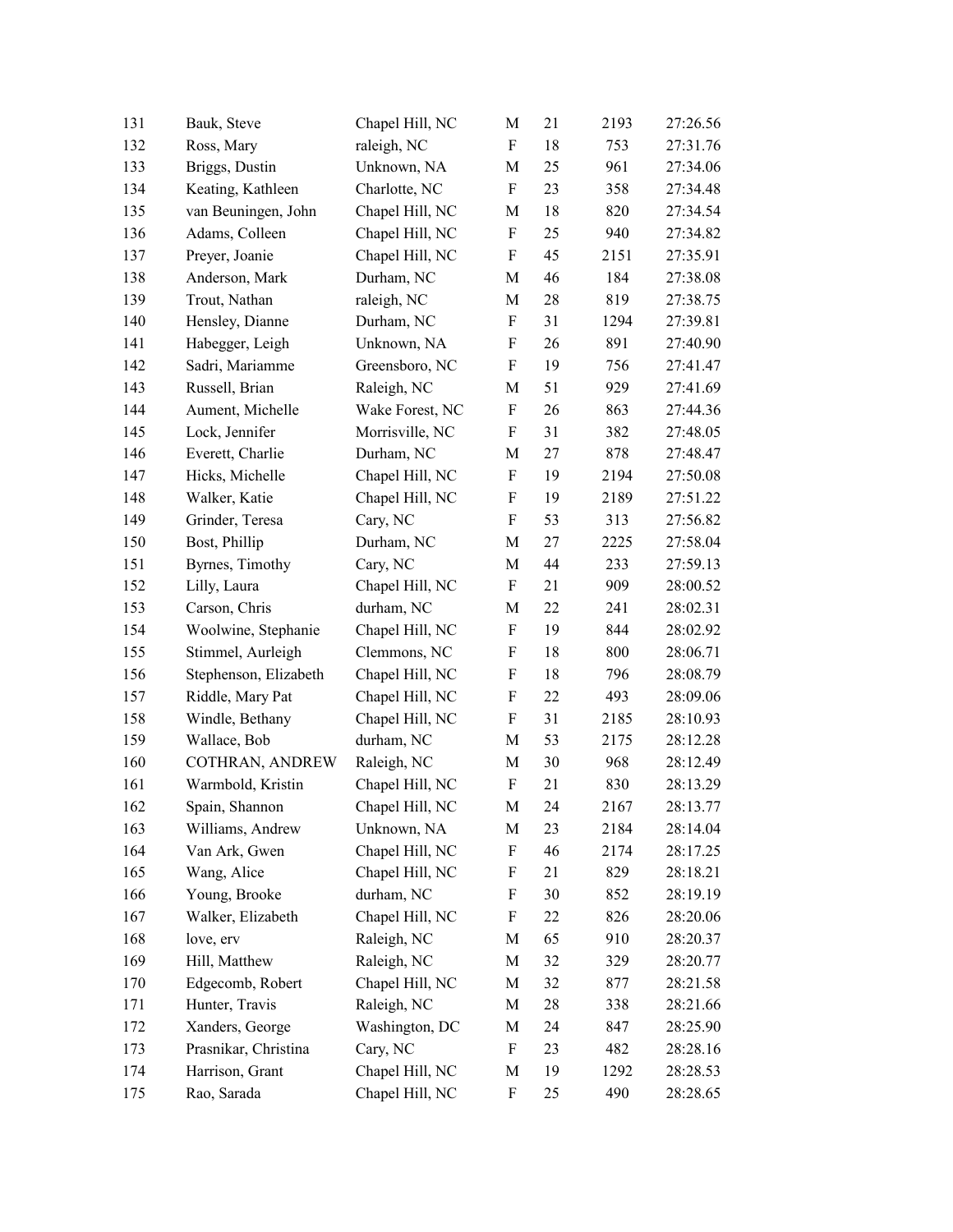| 131 | Bauk, Steve           | Chapel Hill, NC | M                         | 21 | 2193 | 27:26.56 |
|-----|-----------------------|-----------------|---------------------------|----|------|----------|
| 132 | Ross, Mary            | raleigh, NC     | F                         | 18 | 753  | 27:31.76 |
| 133 | Briggs, Dustin        | Unknown, NA     | М                         | 25 | 961  | 27:34.06 |
| 134 | Keating, Kathleen     | Charlotte, NC   | F                         | 23 | 358  | 27:34.48 |
| 135 | van Beuningen, John   | Chapel Hill, NC | М                         | 18 | 820  | 27:34.54 |
| 136 | Adams, Colleen        | Chapel Hill, NC | F                         | 25 | 940  | 27:34.82 |
| 137 | Preyer, Joanie        | Chapel Hill, NC | F                         | 45 | 2151 | 27:35.91 |
| 138 | Anderson, Mark        | Durham, NC      | M                         | 46 | 184  | 27:38.08 |
| 139 | Trout, Nathan         | raleigh, NC     | M                         | 28 | 819  | 27:38.75 |
| 140 | Hensley, Dianne       | Durham, NC      | F                         | 31 | 1294 | 27:39.81 |
| 141 | Habegger, Leigh       | Unknown, NA     | F                         | 26 | 891  | 27:40.90 |
| 142 | Sadri, Mariamme       | Greensboro, NC  | F                         | 19 | 756  | 27:41.47 |
| 143 | Russell, Brian        | Raleigh, NC     | М                         | 51 | 929  | 27:41.69 |
| 144 | Aument, Michelle      | Wake Forest, NC | F                         | 26 | 863  | 27:44.36 |
| 145 | Lock, Jennifer        | Morrisville, NC | F                         | 31 | 382  | 27:48.05 |
| 146 | Everett, Charlie      | Durham, NC      | М                         | 27 | 878  | 27:48.47 |
| 147 | Hicks, Michelle       | Chapel Hill, NC | F                         | 19 | 2194 | 27:50.08 |
| 148 | Walker, Katie         | Chapel Hill, NC | F                         | 19 | 2189 | 27:51.22 |
| 149 | Grinder, Teresa       | Cary, NC        | F                         | 53 | 313  | 27:56.82 |
| 150 | Bost, Phillip         | Durham, NC      | М                         | 27 | 2225 | 27:58.04 |
| 151 | Byrnes, Timothy       | Cary, NC        | М                         | 44 | 233  | 27:59.13 |
| 152 | Lilly, Laura          | Chapel Hill, NC | F                         | 21 | 909  | 28:00.52 |
| 153 | Carson, Chris         | durham, NC      | M                         | 22 | 241  | 28:02.31 |
| 154 | Woolwine, Stephanie   | Chapel Hill, NC | F                         | 19 | 844  | 28:02.92 |
| 155 | Stimmel, Aurleigh     | Clemmons, NC    | F                         | 18 | 800  | 28:06.71 |
| 156 | Stephenson, Elizabeth | Chapel Hill, NC | F                         | 18 | 796  | 28:08.79 |
| 157 | Riddle, Mary Pat      | Chapel Hill, NC | $\boldsymbol{\mathrm{F}}$ | 22 | 493  | 28:09.06 |
| 158 | Windle, Bethany       | Chapel Hill, NC | F                         | 31 | 2185 | 28:10.93 |
| 159 | Wallace, Bob          | durham, NC      | М                         | 53 | 2175 | 28:12.28 |
| 160 | COTHRAN, ANDREW       | Raleigh, NC     | М                         | 30 | 968  | 28:12.49 |
| 161 | Warmbold, Kristin     | Chapel Hill, NC | F                         | 21 | 830  | 28:13.29 |
| 162 | Spain, Shannon        | Chapel Hill, NC | M                         | 24 | 2167 | 28:13.77 |
| 163 | Williams, Andrew      | Unknown, NA     | М                         | 23 | 2184 | 28:14.04 |
| 164 | Van Ark, Gwen         | Chapel Hill, NC | F                         | 46 | 2174 | 28:17.25 |
| 165 | Wang, Alice           | Chapel Hill, NC | F                         | 21 | 829  | 28:18.21 |
| 166 | Young, Brooke         | durham, NC      | F                         | 30 | 852  | 28:19.19 |
| 167 | Walker, Elizabeth     | Chapel Hill, NC | F                         | 22 | 826  | 28:20.06 |
| 168 | love, erv             | Raleigh, NC     | M                         | 65 | 910  | 28:20.37 |
| 169 | Hill, Matthew         | Raleigh, NC     | M                         | 32 | 329  | 28:20.77 |
| 170 | Edgecomb, Robert      | Chapel Hill, NC | M                         | 32 | 877  | 28:21.58 |
| 171 | Hunter, Travis        | Raleigh, NC     | M                         | 28 | 338  | 28:21.66 |
| 172 | Xanders, George       | Washington, DC  | М                         | 24 | 847  | 28:25.90 |
| 173 | Prasnikar, Christina  | Cary, NC        | F                         | 23 | 482  | 28:28.16 |
| 174 | Harrison, Grant       | Chapel Hill, NC | М                         | 19 | 1292 | 28:28.53 |
| 175 | Rao, Sarada           | Chapel Hill, NC | F                         | 25 | 490  | 28:28.65 |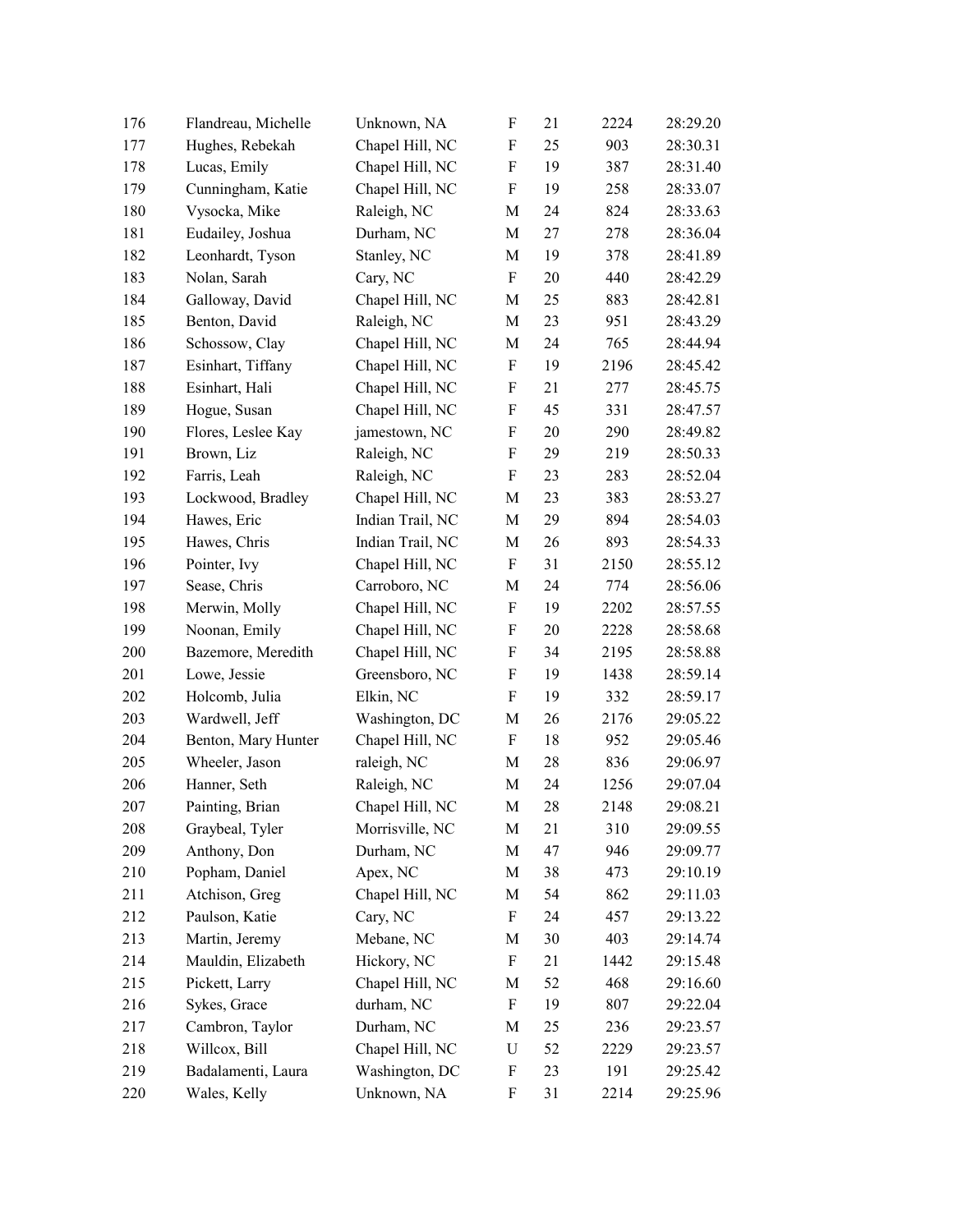| 176 | Flandreau, Michelle | Unknown, NA      | F | 21 | 2224 | 28:29.20 |
|-----|---------------------|------------------|---|----|------|----------|
| 177 | Hughes, Rebekah     | Chapel Hill, NC  | F | 25 | 903  | 28:30.31 |
| 178 | Lucas, Emily        | Chapel Hill, NC  | F | 19 | 387  | 28:31.40 |
| 179 | Cunningham, Katie   | Chapel Hill, NC  | F | 19 | 258  | 28:33.07 |
| 180 | Vysocka, Mike       | Raleigh, NC      | M | 24 | 824  | 28:33.63 |
| 181 | Eudailey, Joshua    | Durham, NC       | M | 27 | 278  | 28:36.04 |
| 182 | Leonhardt, Tyson    | Stanley, NC      | M | 19 | 378  | 28:41.89 |
| 183 | Nolan, Sarah        | Cary, NC         | F | 20 | 440  | 28:42.29 |
| 184 | Galloway, David     | Chapel Hill, NC  | M | 25 | 883  | 28:42.81 |
| 185 | Benton, David       | Raleigh, NC      | M | 23 | 951  | 28:43.29 |
| 186 | Schossow, Clay      | Chapel Hill, NC  | M | 24 | 765  | 28:44.94 |
| 187 | Esinhart, Tiffany   | Chapel Hill, NC  | F | 19 | 2196 | 28:45.42 |
| 188 | Esinhart, Hali      | Chapel Hill, NC  | F | 21 | 277  | 28:45.75 |
| 189 | Hogue, Susan        | Chapel Hill, NC  | F | 45 | 331  | 28:47.57 |
| 190 | Flores, Leslee Kay  | jamestown, NC    | F | 20 | 290  | 28:49.82 |
| 191 | Brown, Liz          | Raleigh, NC      | F | 29 | 219  | 28:50.33 |
| 192 | Farris, Leah        | Raleigh, NC      | F | 23 | 283  | 28:52.04 |
| 193 | Lockwood, Bradley   | Chapel Hill, NC  | M | 23 | 383  | 28:53.27 |
| 194 | Hawes, Eric         | Indian Trail, NC | M | 29 | 894  | 28:54.03 |
| 195 | Hawes, Chris        | Indian Trail, NC | M | 26 | 893  | 28:54.33 |
| 196 | Pointer, Ivy        | Chapel Hill, NC  | F | 31 | 2150 | 28:55.12 |
| 197 | Sease, Chris        | Carroboro, NC    | M | 24 | 774  | 28:56.06 |
| 198 | Merwin, Molly       | Chapel Hill, NC  | F | 19 | 2202 | 28:57.55 |
| 199 | Noonan, Emily       | Chapel Hill, NC  | F | 20 | 2228 | 28:58.68 |
| 200 | Bazemore, Meredith  | Chapel Hill, NC  | F | 34 | 2195 | 28:58.88 |
| 201 | Lowe, Jessie        | Greensboro, NC   | F | 19 | 1438 | 28:59.14 |
| 202 | Holcomb, Julia      | Elkin, NC        | F | 19 | 332  | 28:59.17 |
| 203 | Wardwell, Jeff      | Washington, DC   | M | 26 | 2176 | 29:05.22 |
| 204 | Benton, Mary Hunter | Chapel Hill, NC  | F | 18 | 952  | 29:05.46 |
| 205 | Wheeler, Jason      | raleigh, NC      | M | 28 | 836  | 29:06.97 |
| 206 | Hanner, Seth        | Raleigh, NC      | M | 24 | 1256 | 29:07.04 |
| 207 | Painting, Brian     | Chapel Hill, NC  | M | 28 | 2148 | 29:08.21 |
| 208 | Graybeal, Tyler     | Morrisville, NC  | M | 21 | 310  | 29:09.55 |
| 209 | Anthony, Don        | Durham, NC       | M | 47 | 946  | 29:09.77 |
| 210 | Popham, Daniel      | Apex, NC         | M | 38 | 473  | 29:10.19 |
| 211 | Atchison, Greg      | Chapel Hill, NC  | M | 54 | 862  | 29:11.03 |
| 212 | Paulson, Katie      | Cary, NC         | F | 24 | 457  | 29:13.22 |
| 213 | Martin, Jeremy      | Mebane, NC       | M | 30 | 403  | 29:14.74 |
| 214 | Mauldin, Elizabeth  | Hickory, NC      | F | 21 | 1442 | 29:15.48 |
| 215 | Pickett, Larry      | Chapel Hill, NC  | M | 52 | 468  | 29:16.60 |
| 216 | Sykes, Grace        | durham, NC       | F | 19 | 807  | 29:22.04 |
| 217 | Cambron, Taylor     | Durham, NC       | M | 25 | 236  | 29:23.57 |
| 218 | Willcox, Bill       | Chapel Hill, NC  | U | 52 | 2229 | 29:23.57 |
| 219 | Badalamenti, Laura  | Washington, DC   | F | 23 | 191  | 29:25.42 |
| 220 | Wales, Kelly        | Unknown, NA      | F | 31 | 2214 | 29:25.96 |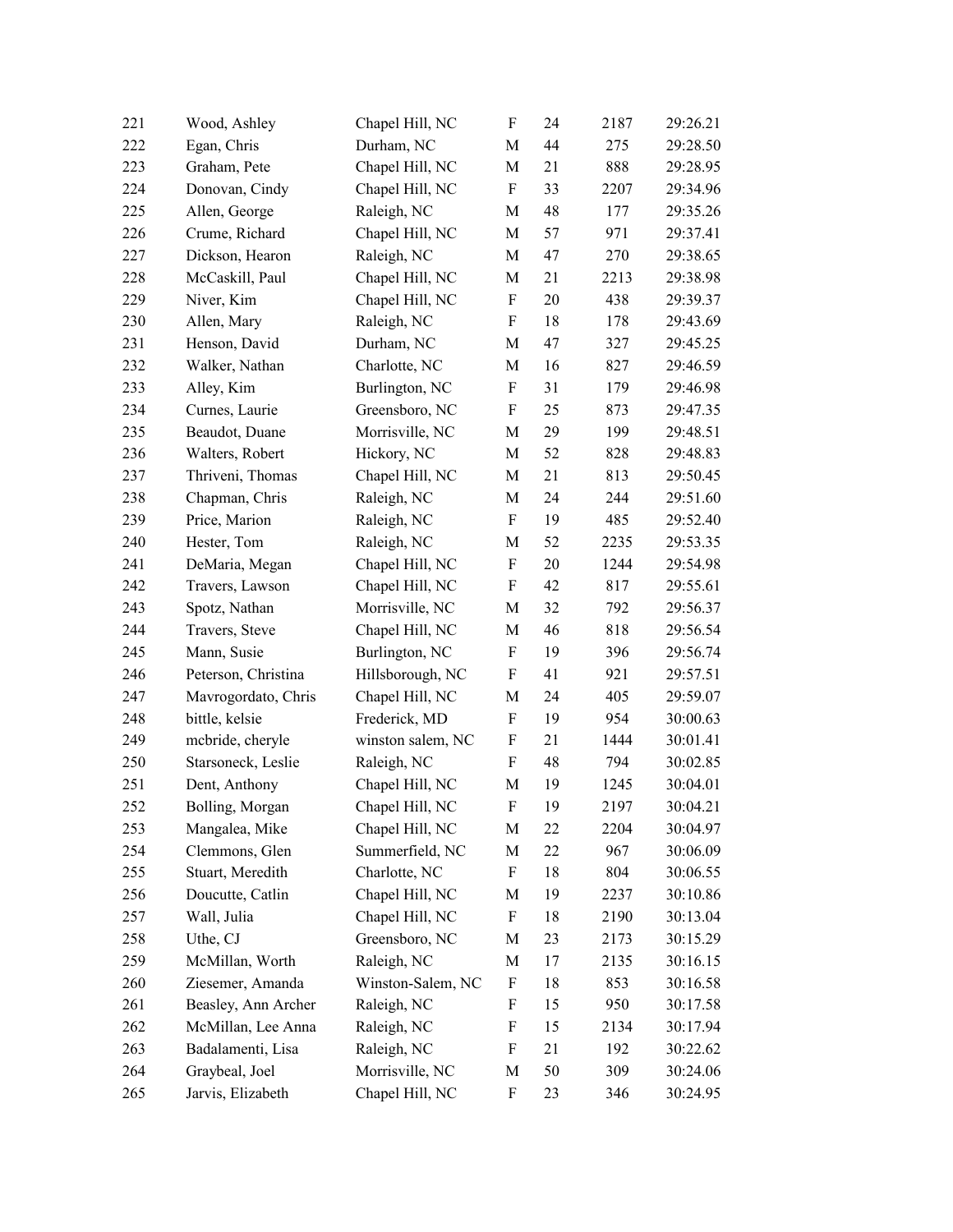| 221 | Wood, Ashley        | Chapel Hill, NC   | F | 24 | 2187 | 29:26.21 |
|-----|---------------------|-------------------|---|----|------|----------|
| 222 | Egan, Chris         | Durham, NC        | М | 44 | 275  | 29:28.50 |
| 223 | Graham, Pete        | Chapel Hill, NC   | М | 21 | 888  | 29:28.95 |
| 224 | Donovan, Cindy      | Chapel Hill, NC   | F | 33 | 2207 | 29:34.96 |
| 225 | Allen, George       | Raleigh, NC       | M | 48 | 177  | 29:35.26 |
| 226 | Crume, Richard      | Chapel Hill, NC   | M | 57 | 971  | 29:37.41 |
| 227 | Dickson, Hearon     | Raleigh, NC       | M | 47 | 270  | 29:38.65 |
| 228 | McCaskill, Paul     | Chapel Hill, NC   | M | 21 | 2213 | 29:38.98 |
| 229 | Niver, Kim          | Chapel Hill, NC   | F | 20 | 438  | 29:39.37 |
| 230 | Allen, Mary         | Raleigh, NC       | F | 18 | 178  | 29:43.69 |
| 231 | Henson, David       | Durham, NC        | M | 47 | 327  | 29:45.25 |
| 232 | Walker, Nathan      | Charlotte, NC     | М | 16 | 827  | 29:46.59 |
| 233 | Alley, Kim          | Burlington, NC    | F | 31 | 179  | 29:46.98 |
| 234 | Curnes, Laurie      | Greensboro, NC    | F | 25 | 873  | 29:47.35 |
| 235 | Beaudot, Duane      | Morrisville, NC   | M | 29 | 199  | 29:48.51 |
| 236 | Walters, Robert     | Hickory, NC       | M | 52 | 828  | 29:48.83 |
| 237 | Thriveni, Thomas    | Chapel Hill, NC   | M | 21 | 813  | 29:50.45 |
| 238 | Chapman, Chris      | Raleigh, NC       | М | 24 | 244  | 29:51.60 |
| 239 | Price, Marion       | Raleigh, NC       | F | 19 | 485  | 29:52.40 |
| 240 | Hester, Tom         | Raleigh, NC       | M | 52 | 2235 | 29:53.35 |
| 241 | DeMaria, Megan      | Chapel Hill, NC   | F | 20 | 1244 | 29:54.98 |
| 242 | Travers, Lawson     | Chapel Hill, NC   | F | 42 | 817  | 29:55.61 |
| 243 | Spotz, Nathan       | Morrisville, NC   | M | 32 | 792  | 29:56.37 |
| 244 | Travers, Steve      | Chapel Hill, NC   | М | 46 | 818  | 29:56.54 |
| 245 | Mann, Susie         | Burlington, NC    | F | 19 | 396  | 29:56.74 |
| 246 | Peterson, Christina | Hillsborough, NC  | F | 41 | 921  | 29:57.51 |
| 247 | Mavrogordato, Chris | Chapel Hill, NC   | М | 24 | 405  | 29:59.07 |
| 248 | bittle, kelsie      | Frederick, MD     | F | 19 | 954  | 30:00.63 |
| 249 | mebride, cheryle    | winston salem, NC | F | 21 | 1444 | 30:01.41 |
| 250 | Starsoneck, Leslie  | Raleigh, NC       | F | 48 | 794  | 30:02.85 |
| 251 | Dent, Anthony       | Chapel Hill, NC   | M | 19 | 1245 | 30:04.01 |
| 252 | Bolling, Morgan     | Chapel Hill, NC   | F | 19 | 2197 | 30:04.21 |
| 253 | Mangalea, Mike      | Chapel Hill, NC   | M | 22 | 2204 | 30:04.97 |
| 254 | Clemmons, Glen      | Summerfield, NC   | М | 22 | 967  | 30:06.09 |
| 255 | Stuart, Meredith    | Charlotte, NC     | F | 18 | 804  | 30:06.55 |
| 256 | Doucutte, Catlin    | Chapel Hill, NC   | M | 19 | 2237 | 30:10.86 |
| 257 | Wall, Julia         | Chapel Hill, NC   | F | 18 | 2190 | 30:13.04 |
| 258 | Uthe, CJ            | Greensboro, NC    | M | 23 | 2173 | 30:15.29 |
| 259 | McMillan, Worth     | Raleigh, NC       | М | 17 | 2135 | 30:16.15 |
| 260 | Ziesemer, Amanda    | Winston-Salem, NC | F | 18 | 853  | 30:16.58 |
| 261 | Beasley, Ann Archer | Raleigh, NC       | F | 15 | 950  | 30:17.58 |
| 262 | McMillan, Lee Anna  | Raleigh, NC       | F | 15 | 2134 | 30:17.94 |
| 263 | Badalamenti, Lisa   | Raleigh, NC       | F | 21 | 192  | 30:22.62 |
| 264 | Graybeal, Joel      | Morrisville, NC   | M | 50 | 309  | 30:24.06 |
| 265 | Jarvis, Elizabeth   | Chapel Hill, NC   | F | 23 | 346  | 30:24.95 |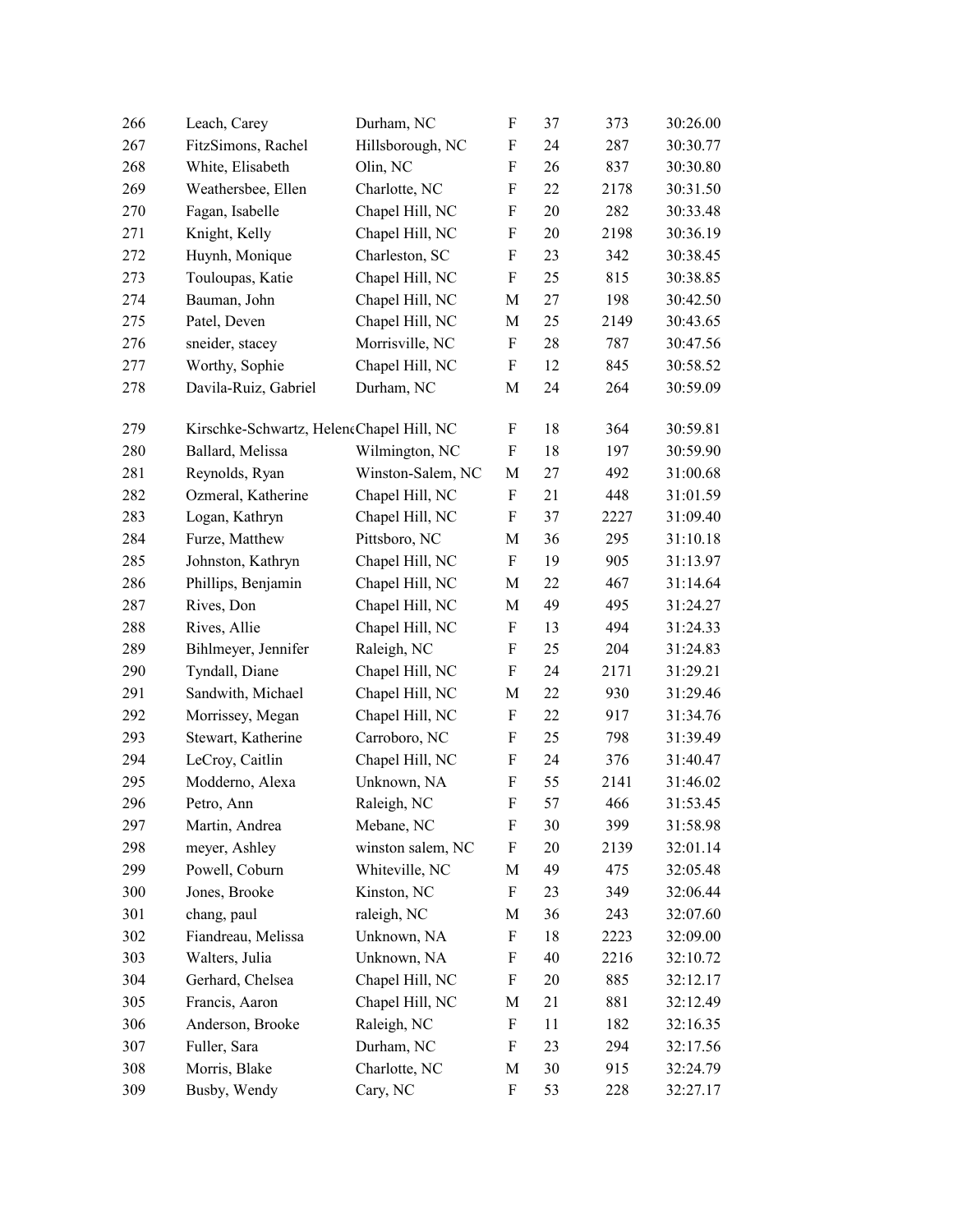| 266 | Leach, Carey                             | Durham, NC        | F                         | 37 | 373  | 30:26.00 |
|-----|------------------------------------------|-------------------|---------------------------|----|------|----------|
| 267 | FitzSimons, Rachel                       | Hillsborough, NC  | $\boldsymbol{\mathrm{F}}$ | 24 | 287  | 30:30.77 |
| 268 | White, Elisabeth                         | Olin, NC          | F                         | 26 | 837  | 30:30.80 |
| 269 | Weathersbee, Ellen                       | Charlotte, NC     | F                         | 22 | 2178 | 30:31.50 |
| 270 | Fagan, Isabelle                          | Chapel Hill, NC   | $\boldsymbol{\mathrm{F}}$ | 20 | 282  | 30:33.48 |
| 271 | Knight, Kelly                            | Chapel Hill, NC   | $\boldsymbol{\mathrm{F}}$ | 20 | 2198 | 30:36.19 |
| 272 | Huynh, Monique                           | Charleston, SC    | $\boldsymbol{\mathrm{F}}$ | 23 | 342  | 30:38.45 |
| 273 | Touloupas, Katie                         | Chapel Hill, NC   | $\boldsymbol{\mathrm{F}}$ | 25 | 815  | 30:38.85 |
| 274 | Bauman, John                             | Chapel Hill, NC   | M                         | 27 | 198  | 30:42.50 |
| 275 | Patel, Deven                             | Chapel Hill, NC   | M                         | 25 | 2149 | 30:43.65 |
| 276 | sneider, stacey                          | Morrisville, NC   | F                         | 28 | 787  | 30:47.56 |
| 277 | Worthy, Sophie                           | Chapel Hill, NC   | F                         | 12 | 845  | 30:58.52 |
| 278 | Davila-Ruiz, Gabriel                     | Durham, NC        | M                         | 24 | 264  | 30:59.09 |
| 279 | Kirschke-Schwartz, HeleneChapel Hill, NC |                   | F                         | 18 | 364  | 30:59.81 |
| 280 | Ballard, Melissa                         | Wilmington, NC    | $\boldsymbol{\mathrm{F}}$ | 18 | 197  | 30:59.90 |
| 281 | Reynolds, Ryan                           | Winston-Salem, NC | M                         | 27 | 492  | 31:00.68 |
| 282 | Ozmeral, Katherine                       | Chapel Hill, NC   | F                         | 21 | 448  | 31:01.59 |
| 283 | Logan, Kathryn                           | Chapel Hill, NC   | F                         | 37 | 2227 | 31:09.40 |
| 284 | Furze, Matthew                           | Pittsboro, NC     | M                         | 36 | 295  | 31:10.18 |
| 285 | Johnston, Kathryn                        | Chapel Hill, NC   | F                         | 19 | 905  | 31:13.97 |
| 286 | Phillips, Benjamin                       | Chapel Hill, NC   | M                         | 22 | 467  | 31:14.64 |
| 287 | Rives, Don                               | Chapel Hill, NC   | M                         | 49 | 495  | 31:24.27 |
| 288 | Rives, Allie                             | Chapel Hill, NC   | F                         | 13 | 494  | 31:24.33 |
| 289 | Bihlmeyer, Jennifer                      | Raleigh, NC       | F                         | 25 | 204  | 31:24.83 |
| 290 | Tyndall, Diane                           | Chapel Hill, NC   | $\boldsymbol{\mathrm{F}}$ | 24 | 2171 | 31:29.21 |
| 291 | Sandwith, Michael                        | Chapel Hill, NC   | M                         | 22 | 930  | 31:29.46 |
| 292 | Morrissey, Megan                         | Chapel Hill, NC   | F                         | 22 | 917  | 31:34.76 |
| 293 | Stewart, Katherine                       | Carroboro, NC     | $\boldsymbol{\mathrm{F}}$ | 25 | 798  | 31:39.49 |
| 294 | LeCroy, Caitlin                          | Chapel Hill, NC   | F                         | 24 | 376  | 31:40.47 |
| 295 | Modderno, Alexa                          | Unknown, NA       | F                         | 55 | 2141 | 31:46.02 |
| 296 | Petro, Ann                               | Raleigh, NC       | $\mathbf F$               | 57 | 466  | 31:53.45 |
| 297 | Martin, Andrea                           | Mebane, NC        | F                         | 30 | 399  | 31:58.98 |
| 298 | meyer, Ashley                            | winston salem, NC | F                         | 20 | 2139 | 32:01.14 |
| 299 | Powell, Coburn                           | Whiteville, NC    | М                         | 49 | 475  | 32:05.48 |
| 300 | Jones, Brooke                            | Kinston, NC       | F                         | 23 | 349  | 32:06.44 |
| 301 | chang, paul                              | raleigh, NC       | M                         | 36 | 243  | 32:07.60 |
| 302 | Fiandreau, Melissa                       | Unknown, NA       | F                         | 18 | 2223 | 32:09.00 |
| 303 | Walters, Julia                           | Unknown, NA       | F                         | 40 | 2216 | 32:10.72 |
| 304 | Gerhard, Chelsea                         | Chapel Hill, NC   | F                         | 20 | 885  | 32:12.17 |
| 305 | Francis, Aaron                           | Chapel Hill, NC   | M                         | 21 | 881  | 32:12.49 |
| 306 | Anderson, Brooke                         | Raleigh, NC       | F                         | 11 | 182  | 32:16.35 |
| 307 | Fuller, Sara                             | Durham, NC        | F                         | 23 | 294  | 32:17.56 |
| 308 | Morris, Blake                            | Charlotte, NC     | M                         | 30 | 915  | 32:24.79 |
| 309 | Busby, Wendy                             | Cary, NC          | F                         | 53 | 228  | 32:27.17 |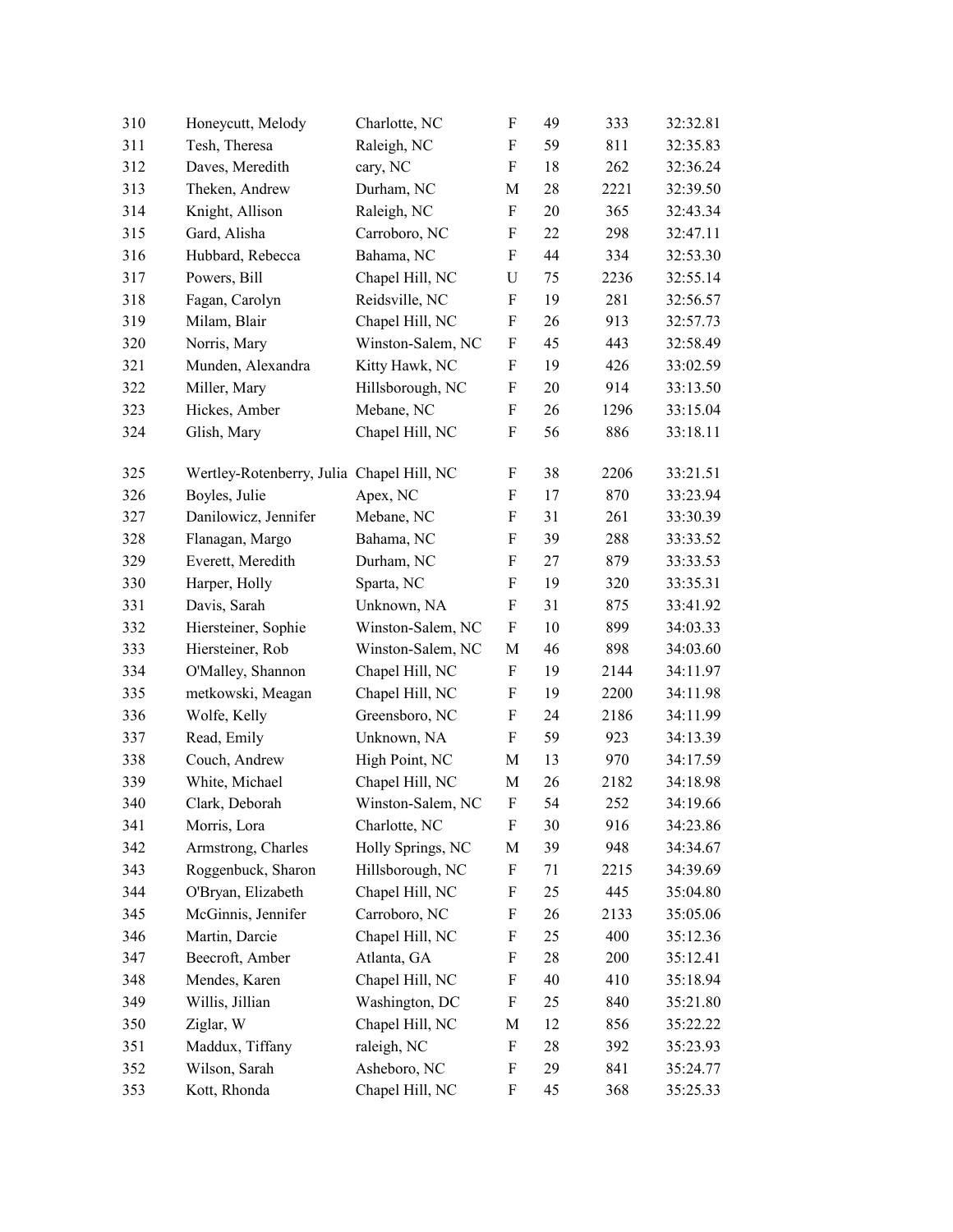| 310 | Honeycutt, Melody                         | Charlotte, NC     | F                         | 49 | 333  | 32:32.81 |
|-----|-------------------------------------------|-------------------|---------------------------|----|------|----------|
| 311 | Tesh, Theresa                             | Raleigh, NC       | F                         | 59 | 811  | 32:35.83 |
| 312 | Daves, Meredith                           | cary, NC          | F                         | 18 | 262  | 32:36.24 |
| 313 | Theken, Andrew                            | Durham, NC        | М                         | 28 | 2221 | 32:39.50 |
| 314 | Knight, Allison                           | Raleigh, NC       | F                         | 20 | 365  | 32:43.34 |
| 315 | Gard, Alisha                              | Carroboro, NC     | F                         | 22 | 298  | 32:47.11 |
| 316 | Hubbard, Rebecca                          | Bahama, NC        | F                         | 44 | 334  | 32:53.30 |
| 317 | Powers, Bill                              | Chapel Hill, NC   | $\mathbf U$               | 75 | 2236 | 32:55.14 |
| 318 | Fagan, Carolyn                            | Reidsville, NC    | F                         | 19 | 281  | 32:56.57 |
| 319 | Milam, Blair                              | Chapel Hill, NC   | F                         | 26 | 913  | 32:57.73 |
| 320 | Norris, Mary                              | Winston-Salem, NC | F                         | 45 | 443  | 32:58.49 |
| 321 | Munden, Alexandra                         | Kitty Hawk, NC    | F                         | 19 | 426  | 33:02.59 |
| 322 | Miller, Mary                              | Hillsborough, NC  | F                         | 20 | 914  | 33:13.50 |
| 323 | Hickes, Amber                             | Mebane, NC        | F                         | 26 | 1296 | 33:15.04 |
| 324 | Glish, Mary                               | Chapel Hill, NC   | F                         | 56 | 886  | 33:18.11 |
| 325 | Wertley-Rotenberry, Julia Chapel Hill, NC |                   | F                         | 38 | 2206 | 33:21.51 |
| 326 | Boyles, Julie                             | Apex, NC          | $\boldsymbol{\mathrm{F}}$ | 17 | 870  | 33:23.94 |
| 327 | Danilowicz, Jennifer                      | Mebane, NC        | F                         | 31 | 261  | 33:30.39 |
| 328 | Flanagan, Margo                           | Bahama, NC        | F                         | 39 | 288  | 33:33.52 |
| 329 | Everett, Meredith                         | Durham, NC        | F                         | 27 | 879  | 33:33.53 |
| 330 | Harper, Holly                             | Sparta, NC        | F                         | 19 | 320  | 33:35.31 |
| 331 | Davis, Sarah                              | Unknown, NA       | F                         | 31 | 875  | 33:41.92 |
| 332 | Hiersteiner, Sophie                       | Winston-Salem, NC | $\boldsymbol{\mathrm{F}}$ | 10 | 899  | 34:03.33 |
| 333 | Hiersteiner, Rob                          | Winston-Salem, NC | M                         | 46 | 898  | 34:03.60 |
| 334 | O'Malley, Shannon                         | Chapel Hill, NC   | F                         | 19 | 2144 | 34:11.97 |
| 335 | metkowski, Meagan                         | Chapel Hill, NC   | F                         | 19 | 2200 | 34:11.98 |
| 336 | Wolfe, Kelly                              | Greensboro, NC    | $\boldsymbol{\mathrm{F}}$ | 24 | 2186 | 34:11.99 |
| 337 | Read, Emily                               | Unknown, NA       | F                         | 59 | 923  | 34:13.39 |
| 338 | Couch, Andrew                             | High Point, NC    | M                         | 13 | 970  | 34:17.59 |
| 339 | White, Michael                            | Chapel Hill, NC   | М                         | 26 | 2182 | 34:18.98 |
| 340 | Clark, Deborah                            | Winston-Salem, NC | $\boldsymbol{\mathrm{F}}$ | 54 | 252  | 34:19.66 |
| 341 | Morris, Lora                              | Charlotte, NC     | F                         | 30 | 916  | 34:23.86 |
| 342 | Armstrong, Charles                        | Holly Springs, NC | M                         | 39 | 948  | 34:34.67 |
| 343 | Roggenbuck, Sharon                        | Hillsborough, NC  | F                         | 71 | 2215 | 34:39.69 |
| 344 | O'Bryan, Elizabeth                        | Chapel Hill, NC   | F                         | 25 | 445  | 35:04.80 |
| 345 | McGinnis, Jennifer                        | Carroboro, NC     | F                         | 26 | 2133 | 35:05.06 |
| 346 | Martin, Darcie                            | Chapel Hill, NC   | F                         | 25 | 400  | 35:12.36 |
| 347 | Beecroft, Amber                           | Atlanta, GA       | F                         | 28 | 200  | 35:12.41 |
| 348 | Mendes, Karen                             | Chapel Hill, NC   | F                         | 40 | 410  | 35:18.94 |
| 349 | Willis, Jillian                           | Washington, DC    | F                         | 25 | 840  | 35:21.80 |
| 350 | Ziglar, W                                 | Chapel Hill, NC   | M                         | 12 | 856  | 35:22.22 |
| 351 | Maddux, Tiffany                           | raleigh, NC       | F                         | 28 | 392  | 35:23.93 |
| 352 | Wilson, Sarah                             | Asheboro, NC      | F                         | 29 | 841  | 35:24.77 |
| 353 | Kott, Rhonda                              | Chapel Hill, NC   | F                         | 45 | 368  | 35:25.33 |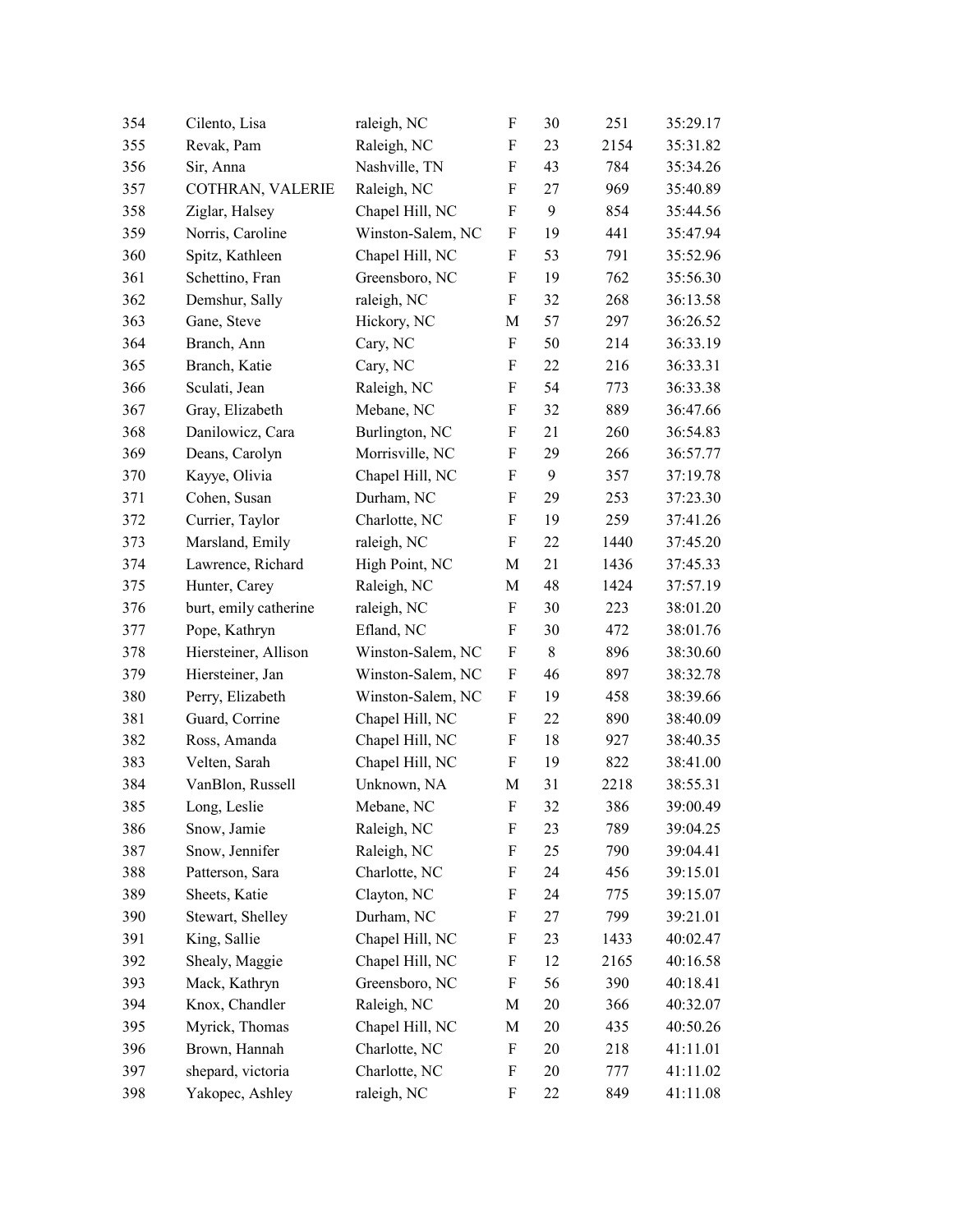| 354 | Cilento, Lisa         | raleigh, NC       | $\boldsymbol{\mathrm{F}}$ | 30 | 251  | 35:29.17 |
|-----|-----------------------|-------------------|---------------------------|----|------|----------|
| 355 | Revak, Pam            | Raleigh, NC       | F                         | 23 | 2154 | 35:31.82 |
| 356 | Sir, Anna             | Nashville, TN     | F                         | 43 | 784  | 35:34.26 |
| 357 | COTHRAN, VALERIE      | Raleigh, NC       | F                         | 27 | 969  | 35:40.89 |
| 358 | Ziglar, Halsey        | Chapel Hill, NC   | $\boldsymbol{\mathrm{F}}$ | 9  | 854  | 35:44.56 |
| 359 | Norris, Caroline      | Winston-Salem, NC | $\boldsymbol{\mathrm{F}}$ | 19 | 441  | 35:47.94 |
| 360 | Spitz, Kathleen       | Chapel Hill, NC   | F                         | 53 | 791  | 35:52.96 |
| 361 | Schettino, Fran       | Greensboro, NC    | F                         | 19 | 762  | 35:56.30 |
| 362 | Demshur, Sally        | raleigh, NC       | F                         | 32 | 268  | 36:13.58 |
| 363 | Gane, Steve           | Hickory, NC       | М                         | 57 | 297  | 36:26.52 |
| 364 | Branch, Ann           | Cary, NC          | F                         | 50 | 214  | 36:33.19 |
| 365 | Branch, Katie         | Cary, NC          | F                         | 22 | 216  | 36:33.31 |
| 366 | Sculati, Jean         | Raleigh, NC       | $\boldsymbol{\mathrm{F}}$ | 54 | 773  | 36:33.38 |
| 367 | Gray, Elizabeth       | Mebane, NC        | F                         | 32 | 889  | 36:47.66 |
| 368 | Danilowicz, Cara      | Burlington, NC    | F                         | 21 | 260  | 36:54.83 |
| 369 | Deans, Carolyn        | Morrisville, NC   | $\boldsymbol{\mathrm{F}}$ | 29 | 266  | 36:57.77 |
| 370 | Kayye, Olivia         | Chapel Hill, NC   | $\boldsymbol{\mathrm{F}}$ | 9  | 357  | 37:19.78 |
| 371 | Cohen, Susan          | Durham, NC        | F                         | 29 | 253  | 37:23.30 |
| 372 | Currier, Taylor       | Charlotte, NC     | F                         | 19 | 259  | 37:41.26 |
| 373 | Marsland, Emily       | raleigh, NC       | $\boldsymbol{\mathrm{F}}$ | 22 | 1440 | 37:45.20 |
| 374 | Lawrence, Richard     | High Point, NC    | М                         | 21 | 1436 | 37:45.33 |
| 375 | Hunter, Carey         | Raleigh, NC       | М                         | 48 | 1424 | 37:57.19 |
| 376 | burt, emily catherine | raleigh, NC       | F                         | 30 | 223  | 38:01.20 |
| 377 | Pope, Kathryn         | Efland, NC        | F                         | 30 | 472  | 38:01.76 |
| 378 | Hiersteiner, Allison  | Winston-Salem, NC | F                         | 8  | 896  | 38:30.60 |
| 379 | Hiersteiner, Jan      | Winston-Salem, NC | F                         | 46 | 897  | 38:32.78 |
| 380 | Perry, Elizabeth      | Winston-Salem, NC | $\boldsymbol{\mathrm{F}}$ | 19 | 458  | 38:39.66 |
| 381 | Guard, Corrine        | Chapel Hill, NC   | $\boldsymbol{\mathrm{F}}$ | 22 | 890  | 38:40.09 |
| 382 | Ross, Amanda          | Chapel Hill, NC   | F                         | 18 | 927  | 38:40.35 |
| 383 | Velten, Sarah         | Chapel Hill, NC   | F                         | 19 | 822  | 38:41.00 |
| 384 | VanBlon, Russell      | Unknown, NA       | M                         | 31 | 2218 | 38:55.31 |
| 385 | Long, Leslie          | Mebane, NC        | F                         | 32 | 386  | 39:00.49 |
| 386 | Snow, Jamie           | Raleigh, NC       | F                         | 23 | 789  | 39:04.25 |
| 387 | Snow, Jennifer        | Raleigh, NC       | F                         | 25 | 790  | 39:04.41 |
| 388 | Patterson, Sara       | Charlotte, NC     | F                         | 24 | 456  | 39:15.01 |
| 389 | Sheets, Katie         | Clayton, NC       | F                         | 24 | 775  | 39:15.07 |
| 390 | Stewart, Shelley      | Durham, NC        | F                         | 27 | 799  | 39:21.01 |
| 391 | King, Sallie          | Chapel Hill, NC   | F                         | 23 | 1433 | 40:02.47 |
| 392 | Shealy, Maggie        | Chapel Hill, NC   | F                         | 12 | 2165 | 40:16.58 |
| 393 | Mack, Kathryn         | Greensboro, NC    | F                         | 56 | 390  | 40:18.41 |
| 394 | Knox, Chandler        | Raleigh, NC       | M                         | 20 | 366  | 40:32.07 |
| 395 | Myrick, Thomas        | Chapel Hill, NC   | M                         | 20 | 435  | 40:50.26 |
| 396 | Brown, Hannah         | Charlotte, NC     | F                         | 20 | 218  | 41:11.01 |
| 397 | shepard, victoria     | Charlotte, NC     | F                         | 20 | 777  | 41:11.02 |
| 398 | Yakopec, Ashley       | raleigh, NC       | F                         | 22 | 849  | 41:11.08 |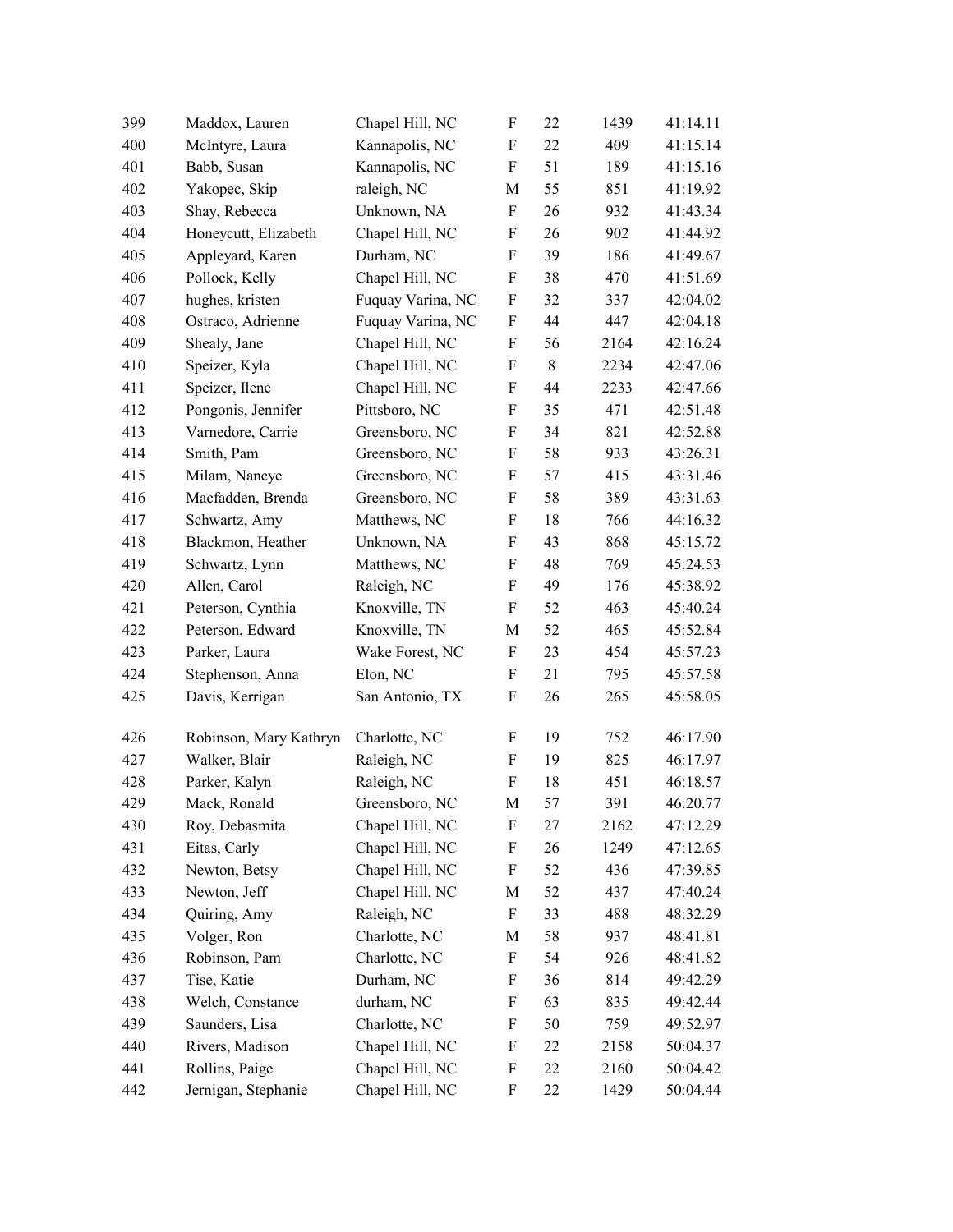| 399 | Maddox, Lauren         | Chapel Hill, NC   | $\boldsymbol{\mathrm{F}}$ | 22    | 1439 | 41:14.11 |
|-----|------------------------|-------------------|---------------------------|-------|------|----------|
| 400 | McIntyre, Laura        | Kannapolis, NC    | F                         | 22    | 409  | 41:15.14 |
| 401 | Babb, Susan            | Kannapolis, NC    | F                         | 51    | 189  | 41:15.16 |
| 402 | Yakopec, Skip          | raleigh, NC       | M                         | 55    | 851  | 41:19.92 |
| 403 | Shay, Rebecca          | Unknown, NA       | $\boldsymbol{\mathrm{F}}$ | 26    | 932  | 41:43.34 |
| 404 | Honeycutt, Elizabeth   | Chapel Hill, NC   | $\boldsymbol{\mathrm{F}}$ | 26    | 902  | 41:44.92 |
| 405 | Appleyard, Karen       | Durham, NC        | F                         | 39    | 186  | 41:49.67 |
| 406 | Pollock, Kelly         | Chapel Hill, NC   | $\boldsymbol{\mathrm{F}}$ | 38    | 470  | 41:51.69 |
| 407 | hughes, kristen        | Fuquay Varina, NC | F                         | 32    | 337  | 42:04.02 |
| 408 | Ostraco, Adrienne      | Fuquay Varina, NC | F                         | 44    | 447  | 42:04.18 |
| 409 | Shealy, Jane           | Chapel Hill, NC   | F                         | 56    | 2164 | 42:16.24 |
| 410 | Speizer, Kyla          | Chapel Hill, NC   | $\boldsymbol{\mathrm{F}}$ | $8\,$ | 2234 | 42:47.06 |
| 411 | Speizer, Ilene         | Chapel Hill, NC   | $\boldsymbol{\mathrm{F}}$ | 44    | 2233 | 42:47.66 |
| 412 | Pongonis, Jennifer     | Pittsboro, NC     | F                         | 35    | 471  | 42:51.48 |
| 413 | Varnedore, Carrie      | Greensboro, NC    | $\boldsymbol{\mathrm{F}}$ | 34    | 821  | 42:52.88 |
| 414 | Smith, Pam             | Greensboro, NC    | $\boldsymbol{\mathrm{F}}$ | 58    | 933  | 43:26.31 |
| 415 | Milam, Nancye          | Greensboro, NC    | $\boldsymbol{\mathrm{F}}$ | 57    | 415  | 43:31.46 |
| 416 | Macfadden, Brenda      | Greensboro, NC    | F                         | 58    | 389  | 43:31.63 |
| 417 | Schwartz, Amy          | Matthews, NC      | F                         | 18    | 766  | 44:16.32 |
| 418 | Blackmon, Heather      | Unknown, NA       | F                         | 43    | 868  | 45:15.72 |
| 419 | Schwartz, Lynn         | Matthews, NC      | F                         | 48    | 769  | 45:24.53 |
| 420 | Allen, Carol           | Raleigh, NC       | $\boldsymbol{\mathrm{F}}$ | 49    | 176  | 45:38.92 |
| 421 | Peterson, Cynthia      | Knoxville, TN     | $\boldsymbol{\mathrm{F}}$ | 52    | 463  | 45:40.24 |
| 422 | Peterson, Edward       | Knoxville, TN     | M                         | 52    | 465  | 45:52.84 |
| 423 | Parker, Laura          | Wake Forest, NC   | F                         | 23    | 454  | 45:57.23 |
| 424 | Stephenson, Anna       | Elon, NC          | $\boldsymbol{\mathrm{F}}$ | 21    | 795  | 45:57.58 |
| 425 | Davis, Kerrigan        | San Antonio, TX   | F                         | 26    | 265  | 45:58.05 |
| 426 | Robinson, Mary Kathryn | Charlotte, NC     | F                         | 19    | 752  | 46:17.90 |
| 427 | Walker, Blair          | Raleigh, NC       | $\boldsymbol{\mathrm{F}}$ | 19    | 825  | 46:17.97 |
| 428 | Parker, Kalyn          | Raleigh, NC       | F                         | 18    | 451  | 46:18.57 |
| 429 | Mack, Ronald           | Greensboro, NC    | M                         | 57    | 391  | 46:20.77 |
| 430 | Roy, Debasmita         | Chapel Hill, NC   | F                         | 27    | 2162 | 47:12.29 |
| 431 | Eitas, Carly           | Chapel Hill, NC   | $\boldsymbol{\mathrm{F}}$ | 26    | 1249 | 47:12.65 |
| 432 | Newton, Betsy          | Chapel Hill, NC   | F                         | 52    | 436  | 47:39.85 |
| 433 | Newton, Jeff           | Chapel Hill, NC   | М                         | 52    | 437  | 47:40.24 |
| 434 | Quiring, Amy           | Raleigh, NC       | F                         | 33    | 488  | 48:32.29 |
| 435 | Volger, Ron            | Charlotte, NC     | М                         | 58    | 937  | 48:41.81 |
| 436 | Robinson, Pam          | Charlotte, NC     | F                         | 54    | 926  | 48:41.82 |
| 437 | Tise, Katie            | Durham, NC        | F                         | 36    | 814  | 49:42.29 |
| 438 | Welch, Constance       | durham, NC        | F                         | 63    | 835  | 49:42.44 |
| 439 | Saunders, Lisa         | Charlotte, NC     | F                         | 50    | 759  | 49:52.97 |
| 440 | Rivers, Madison        | Chapel Hill, NC   | F                         | 22    | 2158 | 50:04.37 |
| 441 | Rollins, Paige         | Chapel Hill, NC   | F                         | 22    | 2160 | 50:04.42 |
| 442 | Jernigan, Stephanie    | Chapel Hill, NC   | F                         | 22    | 1429 | 50:04.44 |